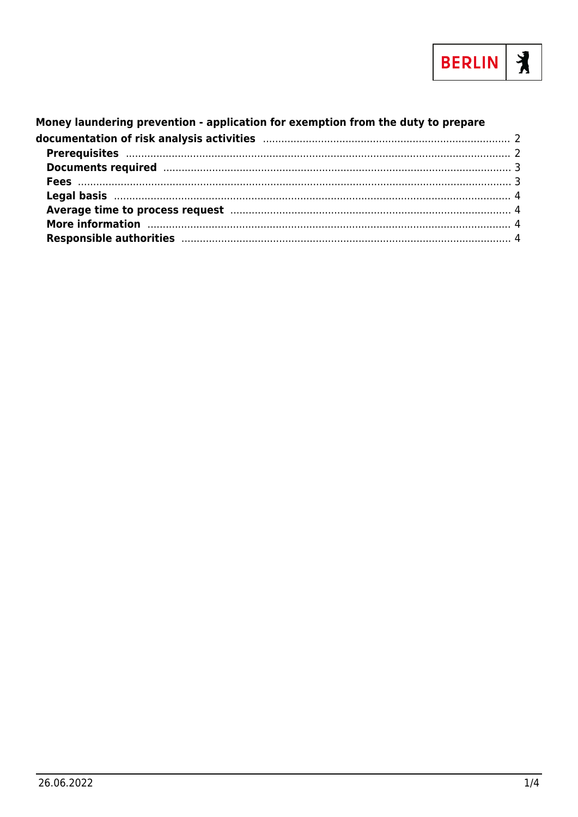

| Money laundering prevention - application for exemption from the duty to prepare                                                                                                                                               |  |
|--------------------------------------------------------------------------------------------------------------------------------------------------------------------------------------------------------------------------------|--|
|                                                                                                                                                                                                                                |  |
|                                                                                                                                                                                                                                |  |
| Documents required manufactured and a 3                                                                                                                                                                                        |  |
|                                                                                                                                                                                                                                |  |
|                                                                                                                                                                                                                                |  |
| Average time to process request manufacture and a 4                                                                                                                                                                            |  |
|                                                                                                                                                                                                                                |  |
| Responsible authorities manufactured and the control of the control of the control of the control of the control of the control of the control of the control of the control of the control of the control of the control of t |  |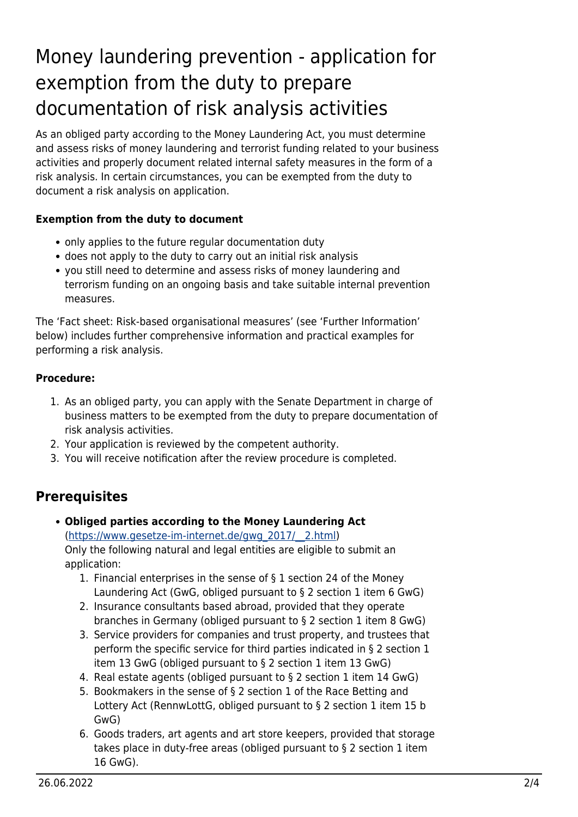# <span id="page-1-0"></span>Money laundering prevention - application for exemption from the duty to prepare documentation of risk analysis activities

As an obliged party according to the Money Laundering Act, you must determine and assess risks of money laundering and terrorist funding related to your business activities and properly document related internal safety measures in the form of a risk analysis. In certain circumstances, you can be exempted from the duty to document a risk analysis on application.

#### **Exemption from the duty to document**

- only applies to the future regular documentation duty
- does not apply to the duty to carry out an initial risk analysis
- you still need to determine and assess risks of money laundering and terrorism funding on an ongoing basis and take suitable internal prevention measures.

The 'Fact sheet: Risk-based organisational measures' (see 'Further Information' below) includes further comprehensive information and practical examples for performing a risk analysis.

#### **Procedure:**

- 1. As an obliged party, you can apply with the Senate Department in charge of business matters to be exempted from the duty to prepare documentation of risk analysis activities.
- 2. Your application is reviewed by the competent authority.
- 3. You will receive notification after the review procedure is completed.

### <span id="page-1-1"></span>**Prerequisites**

- **Obliged parties according to the Money Laundering Act** ([https://www.gesetze-im-internet.de/gwg\\_2017/\\_\\_2.html](https://www.gesetze-im-internet.de/gwg_2017/__2.html)) Only the following natural and legal entities are eligible to submit an application:
	- 1. Financial enterprises in the sense of § 1 section 24 of the Money Laundering Act (GwG, obliged pursuant to § 2 section 1 item 6 GwG)
	- 2. Insurance consultants based abroad, provided that they operate branches in Germany (obliged pursuant to § 2 section 1 item 8 GwG)
	- 3. Service providers for companies and trust property, and trustees that perform the specific service for third parties indicated in § 2 section 1 item 13 GwG (obliged pursuant to § 2 section 1 item 13 GwG)
	- 4. Real estate agents (obliged pursuant to § 2 section 1 item 14 GwG)
	- 5. Bookmakers in the sense of § 2 section 1 of the Race Betting and Lottery Act (RennwLottG, obliged pursuant to § 2 section 1 item 15 b GwG)
	- 6. Goods traders, art agents and art store keepers, provided that storage takes place in duty-free areas (obliged pursuant to § 2 section 1 item 16 GwG).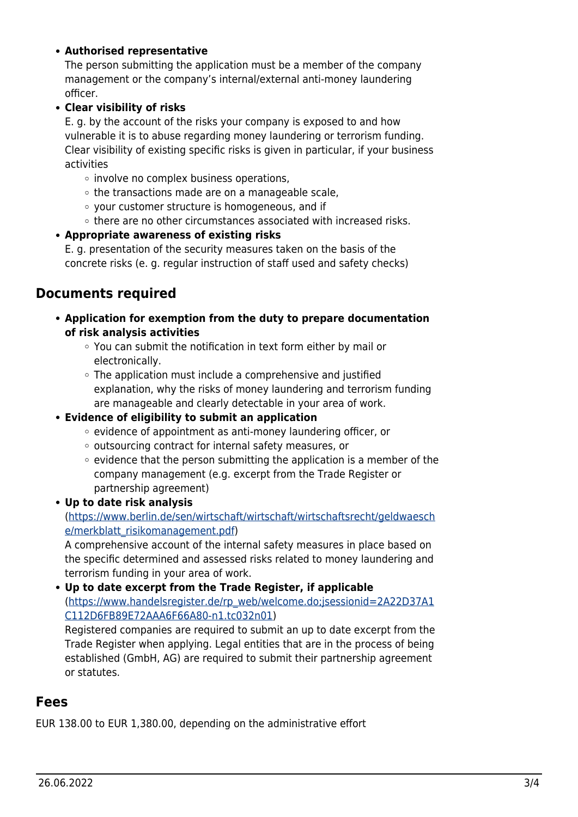#### **Authorised representative**

The person submitting the application must be a member of the company management or the company's internal/external anti-money laundering officer.

#### **Clear visibility of risks**

E. g. by the account of the risks your company is exposed to and how vulnerable it is to abuse regarding money laundering or terrorism funding. Clear visibility of existing specific risks is given in particular, if your business activities

- $\circ$  involve no complex business operations,
- $\circ$  the transactions made are on a manageable scale,
- your customer structure is homogeneous, and if
- $\circ$  there are no other circumstances associated with increased risks.

#### **Appropriate awareness of existing risks**

E. g. presentation of the security measures taken on the basis of the concrete risks (e. g. regular instruction of staff used and safety checks)

### <span id="page-2-0"></span>**Documents required**

- **Application for exemption from the duty to prepare documentation of risk analysis activities**
	- You can submit the notification in text form either by mail or electronically.
	- The application must include a comprehensive and justified explanation, why the risks of money laundering and terrorism funding are manageable and clearly detectable in your area of work.

#### **Evidence of eligibility to submit an application**

- $\circ$  evidence of appointment as anti-money laundering officer, or
- $\circ$  outsourcing contract for internal safety measures, or
- $\circ$  evidence that the person submitting the application is a member of the company management (e.g. excerpt from the Trade Register or partnership agreement)
- **Up to date risk analysis**

#### ([https://www.berlin.de/sen/wirtschaft/wirtschaft/wirtschaftsrecht/geldwaesch](https://www.berlin.de/sen/wirtschaft/wirtschaft/wirtschaftsrecht/geldwaesche/merkblatt_risikomanagement.pdf) [e/merkblatt\\_risikomanagement.pdf\)](https://www.berlin.de/sen/wirtschaft/wirtschaft/wirtschaftsrecht/geldwaesche/merkblatt_risikomanagement.pdf)

A comprehensive account of the internal safety measures in place based on the specific determined and assessed risks related to money laundering and terrorism funding in your area of work.

#### **Up to date excerpt from the Trade Register, if applicable** ([https://www.handelsregister.de/rp\\_web/welcome.do;jsessionid=2A22D37A1](https://www.handelsregister.de/rp_web/welcome.do;jsessionid=2A22D37A1C112D6FB89E72AAA6F66A80-n1.tc032n01) [C112D6FB89E72AAA6F66A80-n1.tc032n01](https://www.handelsregister.de/rp_web/welcome.do;jsessionid=2A22D37A1C112D6FB89E72AAA6F66A80-n1.tc032n01))

Registered companies are required to submit an up to date excerpt from the Trade Register when applying. Legal entities that are in the process of being established (GmbH, AG) are required to submit their partnership agreement or statutes.

### <span id="page-2-1"></span>**Fees**

EUR 138.00 to EUR 1,380.00, depending on the administrative effort